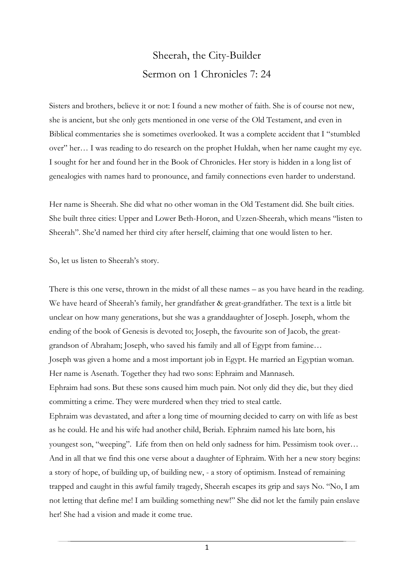## Sheerah, the City-Builder Sermon on 1 Chronicles 7: 24

Sisters and brothers, believe it or not: I found a new mother of faith. She is of course not new, she is ancient, but she only gets mentioned in one verse of the Old Testament, and even in Biblical commentaries she is sometimes overlooked. It was a complete accident that I "stumbled over" her… I was reading to do research on the prophet Huldah, when her name caught my eye. I sought for her and found her in the Book of Chronicles. Her story is hidden in a long list of genealogies with names hard to pronounce, and family connections even harder to understand.

Her name is Sheerah. She did what no other woman in the Old Testament did. She built cities. She built three cities: Upper and Lower Beth-Horon, and Uzzen-Sheerah, which means "listen to Sheerah". She'd named her third city after herself, claiming that one would listen to her.

So, let us listen to Sheerah's story.

There is this one verse, thrown in the midst of all these names – as you have heard in the reading. We have heard of Sheerah's family, her grandfather & great-grandfather. The text is a little bit unclear on how many generations, but she was a granddaughter of Joseph. Joseph, whom the ending of the book of Genesis is devoted to; Joseph, the favourite son of Jacob, the greatgrandson of Abraham; Joseph, who saved his family and all of Egypt from famine… Joseph was given a home and a most important job in Egypt. He married an Egyptian woman. Her name is Asenath. Together they had two sons: Ephraim and Mannaseh. Ephraim had sons. But these sons caused him much pain. Not only did they die, but they died committing a crime. They were murdered when they tried to steal cattle. Ephraim was devastated, and after a long time of mourning decided to carry on with life as best as he could. He and his wife had another child, Beriah. Ephraim named his late born, his youngest son, "weeping". Life from then on held only sadness for him. Pessimism took over… And in all that we find this one verse about a daughter of Ephraim. With her a new story begins: a story of hope, of building up, of building new, - a story of optimism. Instead of remaining trapped and caught in this awful family tragedy, Sheerah escapes its grip and says No. "No, I am not letting that define me! I am building something new!" She did not let the family pain enslave her! She had a vision and made it come true.

1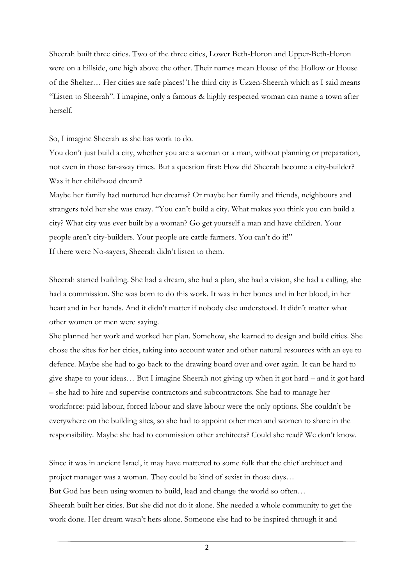Sheerah built three cities. Two of the three cities, Lower Beth-Horon and Upper-Beth-Horon were on a hillside, one high above the other. Their names mean House of the Hollow or House of the Shelter… Her cities are safe places! The third city is Uzzen-Sheerah which as I said means "Listen to Sheerah". I imagine, only a famous & highly respected woman can name a town after herself.

So, I imagine Sheerah as she has work to do.

You don't just build a city, whether you are a woman or a man, without planning or preparation, not even in those far-away times. But a question first: How did Sheerah become a city-builder? Was it her childhood dream?

Maybe her family had nurtured her dreams? Or maybe her family and friends, neighbours and strangers told her she was crazy. "You can't build a city. What makes you think you can build a city? What city was ever built by a woman? Go get yourself a man and have children. Your people aren't city-builders. Your people are cattle farmers. You can't do it!" If there were No-sayers, Sheerah didn't listen to them.

Sheerah started building. She had a dream, she had a plan, she had a vision, she had a calling, she had a commission. She was born to do this work. It was in her bones and in her blood, in her heart and in her hands. And it didn't matter if nobody else understood. It didn't matter what other women or men were saying.

She planned her work and worked her plan. Somehow, she learned to design and build cities. She chose the sites for her cities, taking into account water and other natural resources with an eye to defence. Maybe she had to go back to the drawing board over and over again. It can be hard to give shape to your ideas… But I imagine Sheerah not giving up when it got hard – and it got hard – she had to hire and supervise contractors and subcontractors. She had to manage her workforce: paid labour, forced labour and slave labour were the only options. She couldn't be everywhere on the building sites, so she had to appoint other men and women to share in the responsibility. Maybe she had to commission other architects? Could she read? We don't know.

Since it was in ancient Israel, it may have mattered to some folk that the chief architect and project manager was a woman. They could be kind of sexist in those days… But God has been using women to build, lead and change the world so often… Sheerah built her cities. But she did not do it alone. She needed a whole community to get the work done. Her dream wasn't hers alone. Someone else had to be inspired through it and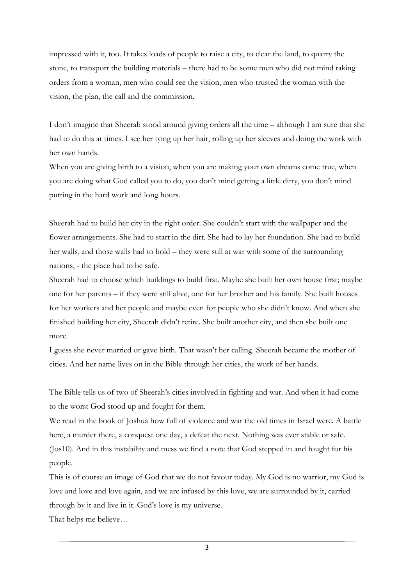impressed with it, too. It takes loads of people to raise a city, to clear the land, to quarry the stone, to transport the building materials – there had to be some men who did not mind taking orders from a woman, men who could see the vision, men who trusted the woman with the vision, the plan, the call and the commission.

I don't imagine that Sheerah stood around giving orders all the time – although I am sure that she had to do this at times. I see her tying up her hair, rolling up her sleeves and doing the work with her own hands.

When you are giving birth to a vision, when you are making your own dreams come true, when you are doing what God called you to do, you don't mind getting a little dirty, you don't mind putting in the hard work and long hours.

Sheerah had to build her city in the right order. She couldn't start with the wallpaper and the flower arrangements. She had to start in the dirt. She had to lay her foundation. She had to build her walls, and those walls had to hold – they were still at war with some of the surrounding nations, - the place had to be safe.

Sheerah had to choose which buildings to build first. Maybe she built her own house first; maybe one for her parents – if they were still alive, one for her brother and his family. She built houses for her workers and her people and maybe even for people who she didn't know. And when she finished building her city, Sheerah didn't retire. She built another city, and then she built one more.

I guess she never married or gave birth. That wasn't her calling. Sheerah became the mother of cities. And her name lives on in the Bible through her cities, the work of her hands.

The Bible tells us of two of Sheerah's cities involved in fighting and war. And when it had come to the worst God stood up and fought for them.

We read in the book of Joshua how full of violence and war the old times in Israel were. A battle here, a murder there, a conquest one day, a defeat the next. Nothing was ever stable or safe. (Jos10). And in this instability and mess we find a note that God stepped in and fought for his people.

This is of course an image of God that we do not favour today. My God is no warrior, my God is love and love and love again, and we are infused by this love, we are surrounded by it, carried through by it and live in it. God's love is my universe.

That helps me believe…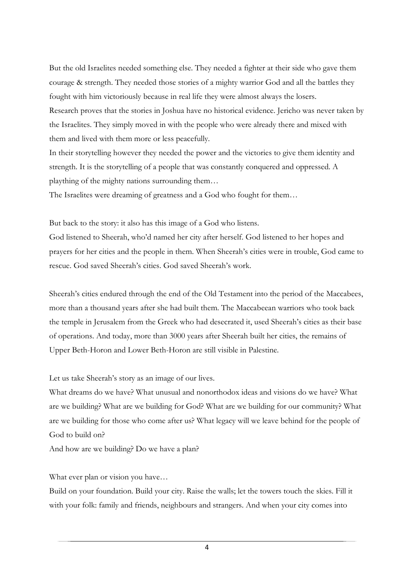But the old Israelites needed something else. They needed a fighter at their side who gave them courage & strength. They needed those stories of a mighty warrior God and all the battles they fought with him victoriously because in real life they were almost always the losers. Research proves that the stories in Joshua have no historical evidence. Jericho was never taken by the Israelites. They simply moved in with the people who were already there and mixed with them and lived with them more or less peacefully.

In their storytelling however they needed the power and the victories to give them identity and strength. It is the storytelling of a people that was constantly conquered and oppressed. A plaything of the mighty nations surrounding them…

The Israelites were dreaming of greatness and a God who fought for them…

But back to the story: it also has this image of a God who listens.

God listened to Sheerah, who'd named her city after herself. God listened to her hopes and prayers for her cities and the people in them. When Sheerah's cities were in trouble, God came to rescue. God saved Sheerah's cities. God saved Sheerah's work.

Sheerah's cities endured through the end of the Old Testament into the period of the Maccabees, more than a thousand years after she had built them. The Maccabeean warriors who took back the temple in Jerusalem from the Greek who had desecrated it, used Sheerah's cities as their base of operations. And today, more than 3000 years after Sheerah built her cities, the remains of Upper Beth-Horon and Lower Beth-Horon are still visible in Palestine.

Let us take Sheerah's story as an image of our lives.

What dreams do we have? What unusual and nonorthodox ideas and visions do we have? What are we building? What are we building for God? What are we building for our community? What are we building for those who come after us? What legacy will we leave behind for the people of God to build on?

And how are we building? Do we have a plan?

What ever plan or vision you have...

Build on your foundation. Build your city. Raise the walls; let the towers touch the skies. Fill it with your folk: family and friends, neighbours and strangers. And when your city comes into